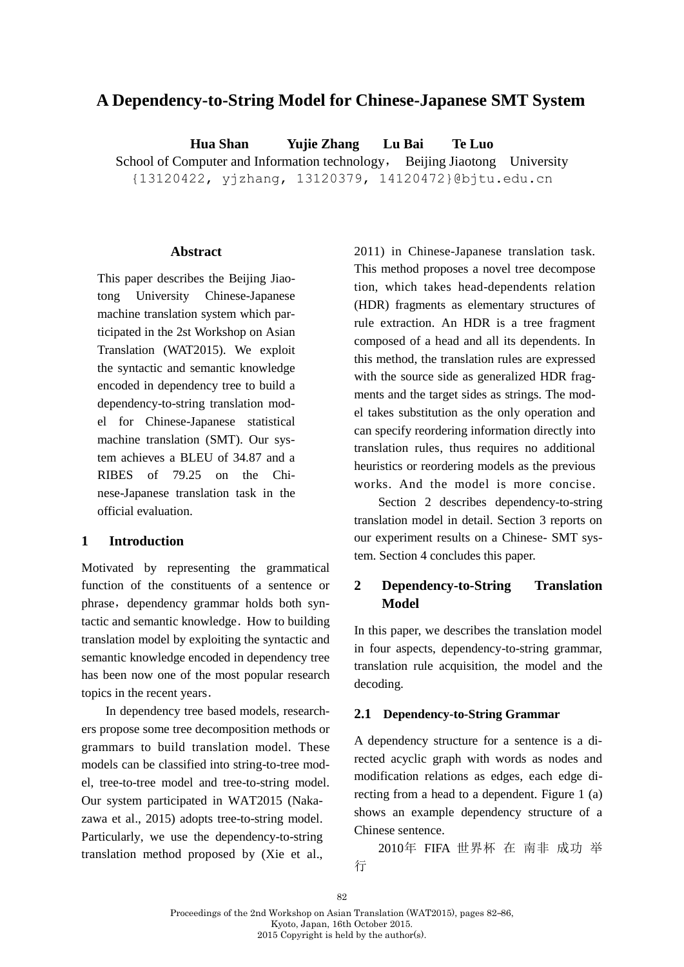# **A Dependency-to-String Model for Chinese-Japanese SMT System**

**Hua Shan Yujie Zhang Lu Bai Te Luo** School of Computer and Information technology, Beijing Jiaotong University {13120422, yjzhang, 13120379, 14120472}@bjtu.edu.cn

#### **Abstract**

This paper describes the Beijing Jiaotong University Chinese-Japanese machine translation system which participated in the 2st Workshop on Asian Translation (WAT2015). We exploit the syntactic and semantic knowledge encoded in dependency tree to build a dependency-to-string translation model for Chinese-Japanese statistical machine translation (SMT). Our system achieves a BLEU of 34.87 and a RIBES of 79.25 on the Chinese-Japanese translation task in the official evaluation.

### **1 Introduction**

Motivated by representing the grammatical function of the constituents of a sentence or phrase, dependency grammar holds both syntactic and semantic knowledge. How to building translation model by exploiting the syntactic and semantic knowledge encoded in dependency tree has been now one of the most popular research topics in the recent years.

In dependency tree based models, researchers propose some tree decomposition methods or grammars to build translation model. These models can be classified into string-to-tree model, tree-to-tree model and tree-to-string model. Our system participated in WAT2015 (Nakazawa et al., 2015) adopts tree-to-string model. Particularly, we use the dependency-to-string translation method proposed by (Xie et al.,

2011) in Chinese-Japanese translation task. This method proposes a novel tree decompose tion, which takes head-dependents relation (HDR) fragments as elementary structures of rule extraction. An HDR is a tree fragment composed of a head and all its dependents. In this method, the translation rules are expressed with the source side as generalized HDR fragments and the target sides as strings. The model takes substitution as the only operation and can specify reordering information directly into translation rules, thus requires no additional heuristics or reordering models as the previous works. And the model is more concise.

Section 2 describes dependency-to-string translation model in detail. Section 3 reports on our experiment results on a Chinese- SMT system. Section 4 concludes this paper.

# **2 Dependency-to-String Translation Model**

In this paper, we describes the translation model in four aspects, dependency-to-string grammar, translation rule acquisition, the model and the decoding.

#### **2.1 Dependency-to-String Grammar**

A dependency structure for a sentence is a directed acyclic graph with words as nodes and modification relations as edges, each edge directing from a head to a dependent. Figure 1 (a) shows an example dependency structure of a Chinese sentence.

2010年 FIFA 世界杯 在 南非 成功 举 行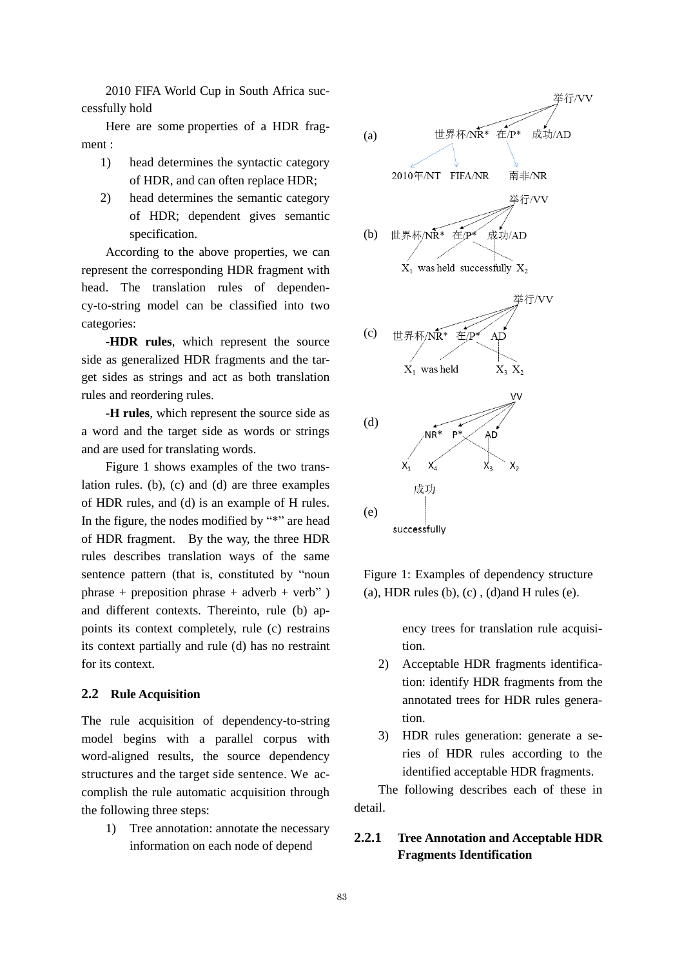2010 FIFA World Cup in South Africa successfully hold

Here are some properties of a HDR fragment :

- 1) head determines the syntactic category of HDR, and can often replace HDR;
- 2) head determines the semantic category of HDR; dependent gives semantic specification.

According to the above properties, we can represent the corresponding HDR fragment with head. The translation rules of dependency-to-string model can be classified into two categories:

**-HDR rules**, which represent the source side as generalized HDR fragments and the target sides as strings and act as both translation rules and reordering rules.

**-H rules**, which represent the source side as a word and the target side as words or strings and are used for translating words.

Figure 1 shows examples of the two translation rules. (b), (c) and (d) are three examples of HDR rules, and (d) is an example of H rules. In the figure, the nodes modified by "\*" are head of HDR fragment. By the way, the three HDR rules describes translation ways of the same sentence pattern (that is, constituted by "noun phrase + preposition phrase + adverb + verb"  $)$ and different contexts. Thereinto, rule (b) appoints its context completely, rule (c) restrains its context partially and rule (d) has no restraint for its context.

#### **2.2 Rule Acquisition**

The rule acquisition of dependency-to-string model begins with a parallel corpus with word-aligned results, the source dependency structures and the target side sentence. We accomplish the rule automatic acquisition through the following three steps:

1) Tree annotation: annotate the necessary information on each node of depend



Figure 1: Examples of dependency structure (a), HDR rules (b),  $(c)$ ,  $(d)$  and H rules  $(e)$ .

ency trees for translation rule acquisition.

- 2) Acceptable HDR fragments identification: identify HDR fragments from the annotated trees for HDR rules generation.
- 3) HDR rules generation: generate a series of HDR rules according to the identified acceptable HDR fragments.

The following describes each of these in detail.

# **2.2.1 Tree Annotation and Acceptable HDR Fragments Identification**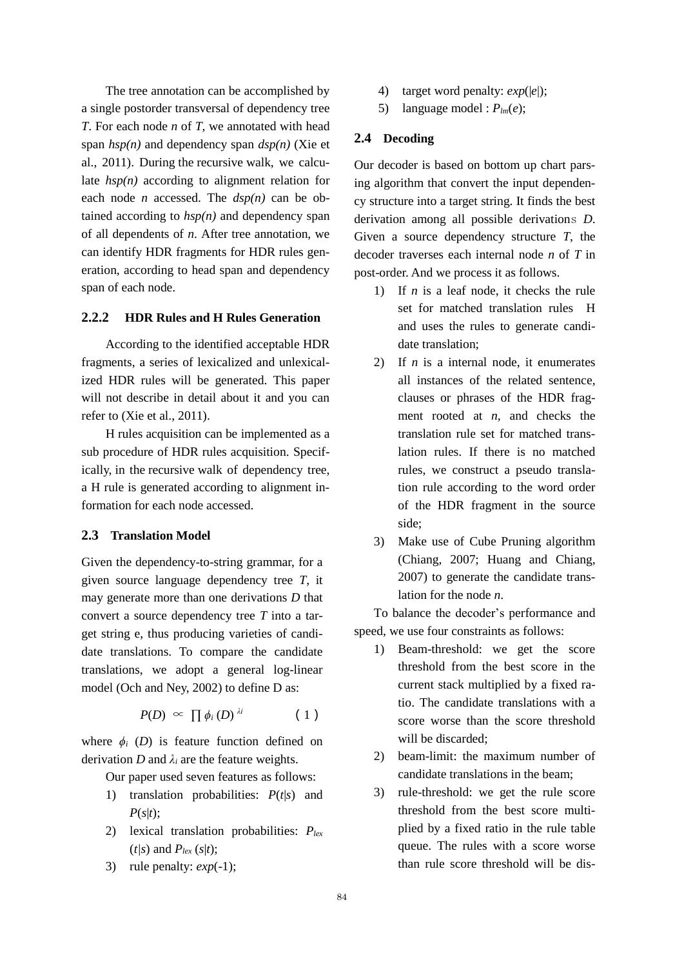The tree annotation can be accomplished by a single postorder transversal of dependency tree *T*. For each node *n* of *T*, we annotated with head span *hsp(n)* and dependency span *dsp(n)* (Xie et al., 2011). During the recursive walk, we calculate *hsp(n)* according to alignment relation for each node *n* accessed. The *dsp(n)* can be obtained according to  $hsp(n)$  and dependency span of all dependents of *n*. After tree annotation, we can identify HDR fragments for HDR rules generation, according to head span and dependency span of each node.

## **2.2.2 HDR Rules and H Rules Generation**

According to the identified acceptable HDR fragments, a series of lexicalized and unlexicalized HDR rules will be generated. This paper will not describe in detail about it and you can refer to (Xie et al., 2011).

H rules acquisition can be implemented as a sub procedure of HDR rules acquisition. Specifically, in the recursive walk of dependency tree, a H rule is generated according to alignment information for each node accessed.

### **2.3 Translation Model**

Given the dependency-to-string grammar, for a given source language dependency tree *T*, it may generate more than one derivations *D* that convert a source dependency tree *T* into a target string e, thus producing varieties of candidate translations. To compare the candidate translations, we adopt a general log-linear model (Och and Ney, 2002) to define D as:

$$
P(D) \,\,\propto\,\,\prod \phi_i\,(D)^{\,\lambda i} \qquad \qquad (1)
$$

where  $\phi_i$  (*D*) is feature function defined on derivation *D* and  $\lambda_i$  are the feature weights.

Our paper used seven features as follows:

- 1) translation probabilities: *P*(*t*|*s*) and  $P(s|t)$ ;
- 2) lexical translation probabilities: *Plex*  $(t/s)$  and  $P_{lex}(s|t)$ ;
- 3) rule penalty:  $exp(-1)$ ;
- 4) target word penalty: *exp*(|*e*|);
- 5) language model :  $P_{lm}(e)$ ;

### **2.4 Decoding**

Our decoder is based on bottom up chart parsing algorithm that convert the input dependency structure into a target string. It finds the best derivation among all possible derivations *D*. Given a source dependency structure *T*, the decoder traverses each internal node *n* of *T* in post-order. And we process it as follows.

- 1) If *n* is a leaf node, it checks the rule set for matched translation rules H and uses the rules to generate candidate translation;
- 2) If *n* is a internal node, it enumerates all instances of the related sentence, clauses or phrases of the HDR fragment rooted at *n*, and checks the translation rule set for matched translation rules. If there is no matched rules, we construct a pseudo translation rule according to the word order of the HDR fragment in the source side;
- 3) Make use of Cube Pruning algorithm (Chiang, 2007; Huang and Chiang, 2007) to generate the candidate translation for the node *n*.

To balance the decoder's performance and speed, we use four constraints as follows:

- 1) Beam-threshold: we get the score threshold from the best score in the current stack multiplied by a fixed ratio. The candidate translations with a score worse than the score threshold will be discarded;
- 2) beam-limit: the maximum number of candidate translations in the beam;
- 3) rule-threshold: we get the rule score threshold from the best score multiplied by a fixed ratio in the rule table queue. The rules with a score worse than rule score threshold will be dis-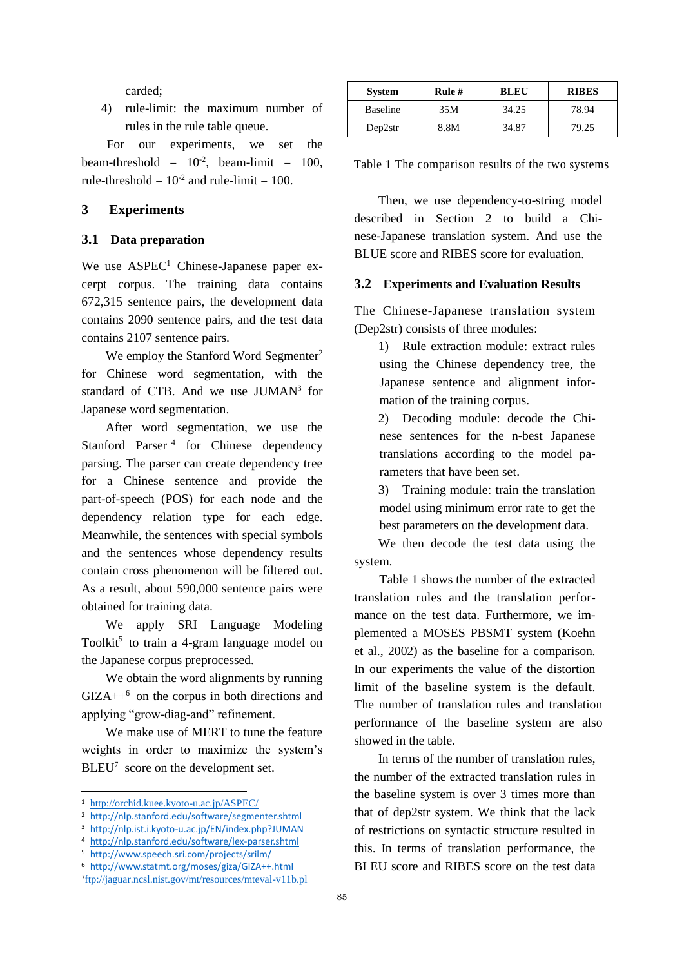carded;

4) rule-limit: the maximum number of rules in the rule table queue.

For our experiments, we set the beam-threshold =  $10^{-2}$ , beam-limit = 100, rule-threshold  $= 10^{-2}$  and rule-limit  $= 100$ .

## **3 Experiments**

#### **3.1 Data preparation**

We use ASPEC<sup>1</sup> Chinese-Japanese paper excerpt corpus. The training data contains 672,315 sentence pairs, the development data contains 2090 sentence pairs, and the test data contains 2107 sentence pairs.

We employ the Stanford Word Segmenter<sup>2</sup> for Chinese word segmentation, with the standard of CTB. And we use JUMAN<sup>3</sup> for Japanese word segmentation.

After word segmentation, we use the Stanford Parser<sup>4</sup> for Chinese dependency parsing. The parser can create dependency tree for a Chinese sentence and provide the part-of-speech (POS) for each node and the dependency relation type for each edge. Meanwhile, the sentences with special symbols and the sentences whose dependency results contain cross phenomenon will be filtered out. As a result, about 590,000 sentence pairs were obtained for training data.

We apply SRI Language Modeling Toolkit<sup>5</sup> to train a 4-gram language model on the Japanese corpus preprocessed.

We obtain the word alignments by running  $GIZA++<sup>6</sup>$  on the corpus in both directions and applying "grow-diag-and" refinement.

We make use of MERT to tune the feature weights in order to maximize the system's BLEU<sup>7</sup> score on the development set.

 $\overline{a}$ 

| <b>System</b> | Rule $#$ | <b>BLEU</b> | <b>RIBES</b> |
|---------------|----------|-------------|--------------|
| Baseline      | 35M      | 34.25       | 78.94        |
| Dep2str       | 8.8M     | 34.87       | 79.25        |

Table 1 The comparison results of the two systems

Then, we use dependency-to-string model described in Section 2 to build a Chinese-Japanese translation system. And use the BLUE score and RIBES score for evaluation.

### **3.2 Experiments and Evaluation Results**

The Chinese-Japanese translation system (Dep2str) consists of three modules:

> 1) Rule extraction module: extract rules using the Chinese dependency tree, the Japanese sentence and alignment information of the training corpus.

> 2) Decoding module: decode the Chinese sentences for the n-best Japanese translations according to the model parameters that have been set.

> 3) Training module: train the translation model using minimum error rate to get the best parameters on the development data.

We then decode the test data using the system.

 Table 1 shows the number of the extracted translation rules and the translation performance on the test data. Furthermore, we implemented a MOSES PBSMT system (Koehn et al., 2002) as the baseline for a comparison. In our experiments the value of the distortion limit of the baseline system is the default. The number of translation rules and translation performance of the baseline system are also showed in the table.

In terms of the number of translation rules, the number of the extracted translation rules in the baseline system is over 3 times more than that of dep2str system. We think that the lack of restrictions on syntactic structure resulted in this. In terms of translation performance, the BLEU score and RIBES score on the test data

<sup>1</sup> <http://orchid.kuee.kyoto-u.ac.jp/ASPEC/>

<sup>2</sup> <http://nlp.stanford.edu/software/segmenter.shtml>

<sup>3</sup> <http://nlp.ist.i.kyoto-u.ac.jp/EN/index.php?JUMAN>

<sup>4</sup> <http://nlp.stanford.edu/software/lex-parser.shtml>

<sup>5</sup> <http://www.speech.sri.com/projects/srilm/>

<sup>6</sup> <http://www.statmt.org/moses/giza/GIZA++.html> 7 <ftp://jaguar.ncsl.nist.gov/mt/resources/mteval-v11b.pl>